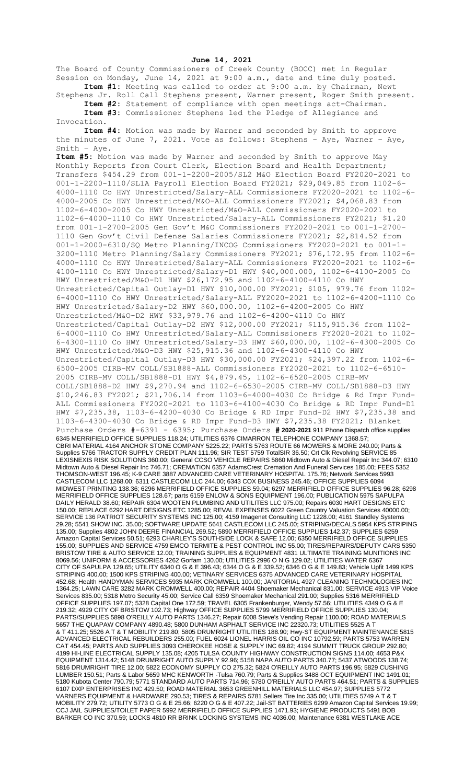**June 14, 2021**

The Board of County Commissioners of Creek County (BOCC) met in Regular Session on Monday, June 14, 2021 at 9:00 a.m., date and time duly posted. **Item #1:** Meeting was called to order at 9:00 a.m. by Chairman, Newt

Stephens Jr. Roll Call Stephens present, Warner present, Roger Smith present. **Item #2:** Statement of compliance with open meetings act-Chairman.

**Item #3:** Commissioner Stephens led the Pledge of Allegiance and Invocation.

**Item #4:** Motion was made by Warner and seconded by Smith to approve the minutes of June 7, 2021. Vote as follows: Stephens – Aye, Warner – Aye, Smith – Aye.

**Item #5:** Motion was made by Warner and seconded by Smith to approve May Monthly Reports from Court Clerk, Election Board and Health Department; Transfers \$454.29 from 001-1-2200-2005/SL2 M&O Election Board FY2020-2021 to 001-1-2200-1110/SL1A Payroll Election Board FY2021; \$29,049.85 from 1102-6- 4000-1110 Co HWY Unrestricted/Salary-ALL Commissioners FY2020-2021 to 1102-6- 4000-2005 Co HWY Unrestricted/M&O-ALL Commissioners FY2021; \$4,068.83 from 1102-6-4000-2005 Co HWY Unrestricted/M&O-ALL Commissioners FY2020-2021 to 1102-6-4000-1110 Co HWY Unrestricted/Salary-ALL Commissioners FY2021; \$1.20 from 001-1-2700-2005 Gen Gov't M&O Commissioners FY2020-2021 to 001-1-2700- 1110 Gen Gov't Civil Defense Salaries Commissioners FY2021; \$2,814.52 from 001-1-2000-6310/SQ Metro Planning/INCOG Commissioners FY2020-2021 to 001-1- 3200-1110 Metro Planning/Salary Commissioners FY2021; \$76,172.95 from 1102-6- 4000-1110 Co HWY Unrestricted/Salary-ALL Commissioners FY2020-2021 to 1102-6- 4100-1110 Co HWY Unrestricted/Salary-D1 HWY \$40,000.000, 1102-6-4100-2005 Co HWY Unrestricted/M&O-D1 HWY \$26,172.95 and 1102-6-4100-4110 Co HWY Unrestricted/Capital Outlay-D1 HWY \$10,000.00 FY2021; \$105, 979.76 from 1102- 6-4000-1110 Co HWY Unrestricted/Salary-ALL FY2020-2021 to 1102-6-4200-1110 Co HWY Unrestricted/Salary-D2 HWY \$60,000.00, 1102-6-4200-2005 Co HWY Unrestricted/M&O-D2 HWY \$33,979.76 and 1102-6-4200-4110 Co HWY Unrestricted/Capital Outlay-D2 HWY \$12,000.00 FY2021; \$115,915.36 from 1102- 6-4000-1110 Co HWY Unrestricted/Salary-ALL Commissioners FY2020-2021 to 1102- 6-4300-1110 Co HWY Unrestricted/Salary-D3 HWY \$60,000.00, 1102-6-4300-2005 Co HWY Unrestricted/M&O-D3 HWY \$25,915.36 and 1102-6-4300-4110 Co HWY Unrestricted/Capital Outlay-D3 HWY \$30,000.00 FY2021; \$24,397.22 from 1102-6- 6500-2005 CIRB-MV COLL/SB1888-ALL Commissioners FY2020-2021 to 1102-6-6510- 2005 CIRB-MV COLL/SB1888-D1 HWY \$4,879.45, 1102-6-6520-2005 CIRB-MV COLL/SB1888-D2 HWY \$9,270.94 and 1102-6-6530-2005 CIRB-MV COLL/SB1888-D3 HWY \$10,246.83 FY2021; \$21,706.14 from 1103-6-4000-4030 Co Bridge & Rd Impr Fund-ALL Commissioners FY2020-2021 to 1103-6-4100-4030 Co Bridge & RD Impr Fund-D1 HWY \$7,235.38, 1103-6-4200-4030 Co Bridge & RD Impr Fund-D2 HWY \$7,235.38 and 1103-6-4300-4030 Co Bridge & RD Impr Fund-D3 HWY \$7,235.38 FY2021; Blanket Purchase Orders #-6391 - 6395; Purchase Orders **# 2020-2021** 911 Phone Dispatch office supplies 6345 MERRIFIELD OFFICE SUPPLIES 118.24; UTILITIES 6376 CIMARRON TELEPHONE COMPANY 1368.57; CBRI MATERIAL 4164 ANCHOR STONE COMPANY 5225.22; PARTS 5763 ROUTE 66 MOWERS & MORE 240.00; Parts & Supplies 5766 TRACTOR SUPPLY CREDIT PLAN 111.96; SIR TEST 5759 TotalSIR 36.50; Crt Clk Revolving SERVICE 85 LEXISNEXIS RISK SOLUTIONS 360.00; General CCSO VEHICLE REPAIRS 5860 Midtown Auto & Diesel Repair Inc 344.07; 6310 Midtown Auto & Diesel Repair Inc 746.71; CREMATION 6357 AdamsCrest Cremation And Funeral Services 185.00; FEES 5352 THOMSON-WEST 196.45; K-9 CARE 3887 ADVANCED CARE VETERINARY HOSPITAL 175.76; Network Services 5993 CASTLECOM LLC 1268.00; 6311 CASTLECOM LLC 244.00; 6343 COX BUSINESS 245.46; OFFICE SUPPLIES 6094 MIDWEST PRINTING 138.36; 6296 MERRIFIELD OFFICE SUPPLIES 59.04; 6297 MERRIFIELD OFFICE SUPPLIES 96.28; 6298 MERRIFIELD OFFICE SUPPLIES 128.67; parts 6159 ENLOW & SONS EQUIPMENT 196.00; PUBLICATION 5975 SAPULPA DAILY HERALD 38.60; REPAIR 6304 WOOTEN PLUMBING AND UTILITES LLC 975.00; Repairs 6030 HART DESIGNS ETC 150.00; REPLACE 6292 HART DESIGNS ETC 1285.00; REVAL EXPENSES 6022 Green Country Valuation Services 40000.00; SERVICE 136 PATRIOT SECURITY SYSTEMS INC 125.00; 4159 Imagenet Consulting LLC 1228.00; 4161 Standley Systems 29.28; 5541 SHOW INC. 35.00; SOFTWARE UPDATE 5641 CASTLECOM LLC 245.00; STRIPING/DECALS 5954 KPS STRIPING 135.00; Supplies 4802 JOHN DEERE FINANCIAL 269.52; 5890 MERRIFIELD OFFICE SUPPLIES 142.37; SUPPLIES 6259 Amazon Capital Services 50.51; 6293 CHARLEY'S SOUTHSIDE LOCK & SAFE 12.00; 6350 MERRIFIELD OFFICE SUPPLIES 155.00; SUPPLIES AND SERVICE 4759 EMCO TERMITE & PEST CONTROL INC 55.00; TIRES/REPAIRS/DEPUTY CARS 5350 BRISTOW TIRE & AUTO SERVICE 12.00; TRAINING SUPPLIES & EQUIPMENT 4831 ULTIMATE TRAINING MUNITIONS INC 8069.56; UNIFORM & ACCESSORIES 4262 Gorfam 130.00; UTILITIES 2996 O N G 129.02; UTILITIES WATER 6367 CITY OF SAPULPA 129.65; UTILITY 6340 O G & E 396.43; 6344 O G & E 339.52; 6346 O G & E 149.83; Vehicle Upfit 1499 KPS STRIPING 400.00; 1500 KPS STRIPING 400.00; VETINARY SERVICES 6375 ADVANCED CARE VETERINARY HOSPITAL 452.68; Health HANDYMAN SERVICES 5935 MARK CROMWELL 100.00; JANITORIAL 4927 CLEANING TECHNOLOGIES INC 1364.25; LAWN CARE 3282 MARK CROMWELL 400.00; REPAIR 4404 Shoemaker Mechanical 831.00; SERVICE 4913 VIP Voice Services 835.00; 5318 Metro Security 45.00; Service Call 6359 Shoemaker Mechanical 291.00; Supplies 5316 MERRIFIELD OFFICE SUPPLIES 197.07; 5328 Capital One 172.59; TRAVEL 6305 Frankenburger, Wendy 57.56; UTILITIES 4349 O G & E 219.32; 4929 CITY OF BRISTOW 102.73; Highway OFFICE SUPPLIES 5799 MERRIFIELD OFFICE SUPPLIES 130.04; PARTS/SUPPLIES 5898 O'REILLY AUTO PARTS 1346.27; Repair 6008 Steve's Vending Repair 1100.00; ROAD MATERIALS 5657 THE QUAPAW COMPANY 4890.48; 5800 DUNHAM ASPHALT SERVICE INC 22320.73; UTILITIES 5525 A T & T 411.25; 5526 A T & T MOBILITY 219.80; 5805 DRUMRIGHT UTILITIES 188.90; Hwy-ST EQUIPMENT MAINTENANCE 5815 ADVANCED ELECTRICAL REBUILDERS 255.00; FUEL 6024 LIONEL HARRIS OIL CO INC 10792.59; PARTS 5753 WARREN CAT 454.45; PARTS AND SUPPLIES 3093 CHEROKEE HOSE & SUPPLY INC 69.82; 4194 SUMMIT TRUCK GROUP 292.80; 4199 HI-LINE ELECTRICAL SUPPLY 135.08; 4205 TULSA COUNTY HIGHWAY CONSTRUCTION SIGNS 114.00; 4653 P&K EQUIPMENT 1314.42; 5148 DRUMRIGHT AUTO SUPPLY 92.96; 5158 NAPA AUTO PARTS 340.77; 5437 ATWOODS 138.74; 5816 DRUMRIGHT TIRE 12.00; 5822 ECONOMY SUPPLY CO 275.32; 5824 O'REILLY AUTO PARTS 196.95; 5829 CUSHING LUMBER 150.51; Parts & Labor 5659 MHC KENWORTH -Tulsa 760.79; Parts & Supplies 3488 OCT EQUIPMENT INC 1491.01; 5180 Kubota Center 790.79; 5771 STANDARD AUTO PARTS 714.96; 5780 O'REILLY AUTO PARTS 464.51; PARTS & SUPPLIES 6107 DXP ENTERPRISES INC 429.50; ROAD MATERIAL 3653 GREENHILL MATERIALS LLC 454.97; SUPPLIES 5772 VARNERS EQUIPMENT & HARDWARE 290.53; TIRES & REPAIRS 5781 Sellers Tire Inc 335.00; UTILITIES 5749 A T & T MOBILITY 279.72; UTILITY 5773 O G & E 25.66; 6220 O G & E 407.22; Jail-ST BATTERIES 6299 Amazon Capital Services 19.99; CCJ JAIL SUPPLIES/TOILET PAPER 5992 MERRIFIELD OFFICE SUPPLIES 1471.93; HYGIENE PRODUCTS 5491 BOB BARKER CO INC 370.59; LOCKS 4810 RR BRINK LOCKING SYSTEMS INC 4036.00; Maintenance 6381 WESTLAKE ACE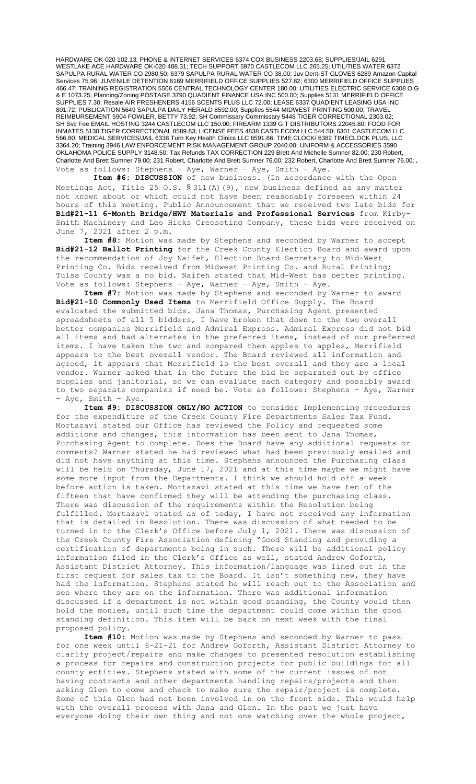HARDWARE OK-020 102.13; PHONE & INTERNET SERVICES 6374 COX BUSINESS 2203.68; SUPPLIES/JAIL 6291 WESTLAKE ACE HARDWARE OK-020 488.31; TECH SUPPORT 5970 CASTLECOM LLC 265.25; UTILITIES WATER 6372 SAPULPA RURAL WATER CO 2980.50; 6379 SAPULPA RURAL WATER CO 38.00; Juv Dent-ST GLOVES 6289 Amazon Capital Services 75.96; JUVENILE DETENTION 6169 MERRIFIELD OFFICE SUPPLIES 527.82; 6300 MERRIFIELD OFFICE SUPPLIES 466.47; TRAINING REGISTRATION 5506 CENTRAL TECHNOLOGY CENTER 180.00; UTILITIES ELECTRIC SERVICE 6308 O G & E 1073.25; Planning/Zoning POSTAGE 3790 QUADIENT FINANCE USA INC 500.00; Supplies 5131 MERRIFIELD OFFICE SUPPLIES 7.30; Resale AIR FRESHENERS 4156 SCENTS PLUS LLC 72.00; LEASE 6337 QUADIENT LEASING USA INC 801.72; PUBLICATION 5649 SAPULPA DAILY HERALD 8592.00; Supplies 5544 MIDWEST PRINTING 500.00; TRAVEL REIMBURSEMENT 5904 FOWLER, BETTY 73.92; SH Commissary Commissary 5448 TIGER CORRECTIONAL 2303.02; SH Svc Fee EMAIL HOSTING 3244 CASTLECOM LLC 150.00; FIREARM 1339 G T DISTRIBUTORS 22045.80; FOOD FOR INMATES 5130 TIGER CORRECTIONAL 8589.83; LICENSE FEES 4838 CASTLECOM LLC 544.50; 6301 CASTLECOM LLC 566.80; MEDICAL SERVICES/JAIL 6338 Turn Key Health Clinics LLC 6591.86; TIME CLOCK/ 6382 TIMECLOCK PLUS, LLC 3364.20; Training 3946 LAW ENFORCEMENT RISK MANAGEMENT GROUP 2040.00; UNIFORM & ACCESSORIES 3590 OKLAHOMA POLICE SUPPLY 3148.50; Tax Refunds TAX CORRECTION 229 Brett And Michelle Sumner 82.00; 230 Robert, Charlotte And Brett Sumner 79.00; 231 Robert, Charlotte And Brett Sumner 76.00; 232 Robert, Charlotte And Brett Sumner 76.00;. Vote as follows: Stephens – Aye, Warner – Aye, Smith – Aye.

 **Item #6: DISCUSSION** of new business. (In accordance with the Open Meetings Act, Title 25 O.S. § 311(A)(9), new business defined as any matter not known about or which could not have been reasonably foreseen within 24 hours of this meeting. Public Announcement that we received two late bids for **Bid#21-11 6-Month Bridge/HWY Materials and Professional Services** from Kirby-Smith Machinery and Leo Hicks Creosoting Company, these bids were received on June 7, 2021 after 2 p.m.

**Item #8:** Motion was made by Stephens and seconded by Warner to accept **Bid#21-12 Ballot Printing** for the Creek County Election Board and award upon the recommendation of Joy Naifeh, Election Board Secretary to Mid-West Printing Co. Bids received from Midwest Printing Co. and Rural Printing; Tulsa County was a no bid. Naifeh stated that Mid-West has better printing. Vote as follows: Stephens – Aye, Warner – Aye, Smith – Aye.

**Item #7:** Motion was made by Stephens and seconded by Warner to award **Bid#21-10 Commonly Used Items** to Merrifield Office Supply. The Board evaluated the submitted bids. Jana Thomas, Purchasing Agent presented spreadsheets of all 5 bidders, I have broken that down to the two overall better companies Merrifield and Admiral Express. Admiral Express did not bid all items and had alternates in the preferred items, instead of our preferred items. I have taken the two and compared them apples to apples, Merrifield appears to the best overall vendor. The Board reviewed all information and agreed, it appears that Merrifield is the best overall and they are a local vendor. Warner asked that in the future the bid be separated out by office supplies and janitorial, so we can evaluate each category and possibly award to two separate companies if need be. Vote as follows: Stephens – Aye, Warner – Aye, Smith – Aye.

**Item #9: DISCUSSION ONLY/NO ACTION** to consider implementing procedures for the expenditure of the Creek County Fire Departments Sales Tax Fund. Mortazavi stated our Office has reviewed the Policy and requested some additions and changes, this information has been sent to Jana Thomas, Purchasing Agent to complete. Does the Board have any additional requests or comments? Warner stated he had reviewed what had been previously emailed and did not have anything at this time. Stephens announced the Purchasing class will be held on Thursday, June 17, 2021 and at this time maybe we might have some more input from the Departments. I think we should hold off a week before action is taken. Mortazavi stated at this time we have ten of the fifteen that have confirmed they will be attending the purchasing class. There was discussion of the requirements within the Resolution being fulfilled. Mortazavi stated as of today, I have not received any information that is detailed in Resolution. There was discussion of what needed to be turned in to the Clerk's Office before July 1, 2021. There was discussion of the Creek County Fire Association defining "Good Standing and providing a certification of departments being in such. There will be additional policy information filed in the Clerk's Office as well, stated Andrew Goforth, Assistant District Attorney. This information/language was lined out in the first request for sales tax to the Board. It isn't something new, they have had the information. Stephens stated he will reach out to the Association and see where they are on the information. There was additional information discussed if a department is not within good standing, the County would then hold the monies, until such time the department could come within the good standing definition. This item will be back on next week with the final proposed policy.

**Item #10:** Motion was made by Stephens and seconded by Warner to pass for one week until 6-21-21 for Andrew Goforth, Assistant District Attorney to clarify project/repairs and make changes to presented resolution establishing a process for repairs and construction projects for public buildings for all county entities. Stephens stated with some of the current issues of not having contracts and other departments handling repairs/projects and then asking Glen to come and check to make sure the repair/project is complete. Some of this Glen had not been involved in on the front side. This would help with the overall process with Jana and Glen. In the past we just have everyone doing their own thing and not one watching over the whole project,